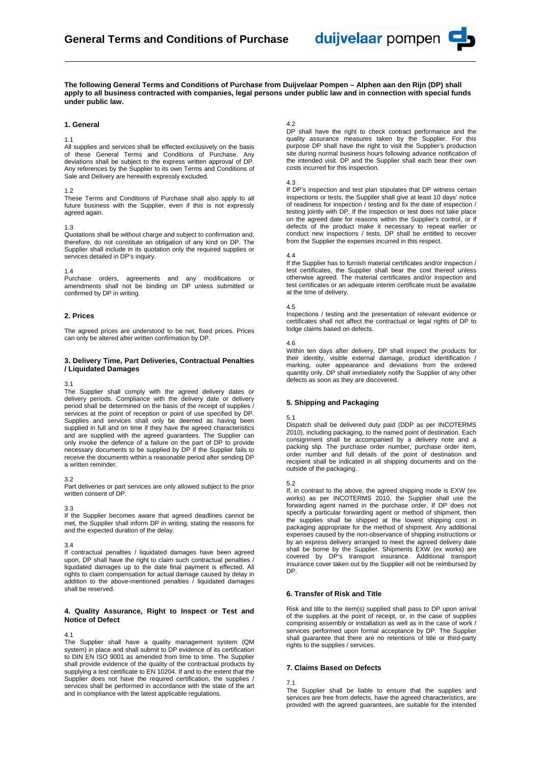

**The following General Terms and Conditions of Purchase from Duijvelaar Pompen – Alphen aan den Rijn (DP) shall apply to all business contracted with companies, legal persons under public law and in connection with special funds under public law.** 

### **1. General**

#### 1.1

All supplies and services shall be effected exclusively on the basis of these General Terms and Conditions of Purchase. Any deviations shall be subject to the express written approval of DP. Any references by the Supplier to its own Terms and Conditions of Sale and Delivery are herewith expressly excluded.

#### 1.2

These Terms and Conditions of Purchase shall also apply to all future business with the Supplier, even if this is not expressly agreed again.

#### 1.3

Quotations shall be without charge and subject to confirmation and, therefore, do not constitute an obligation of any kind on DP. The Supplier shall include in its quotation only the required supplies or services detailed in DP's inquiry.

1.4

Purchase orders, agreements and any modifications or amendments shall not be binding on DP unless submitted or confirmed by DP in writing.

### **2. Prices**

The agreed prices are understood to be net, fixed prices. Prices can only be altered after written confirmation by DP.

# **3. Delivery Time, Part Deliveries, Contractual Penalties / Liquidated Damages**

#### 3.1

The Supplier shall comply with the agreed delivery dates or delivery periods. Compliance with the delivery date or delivery period shall be determined on the basis of the receipt of supplies / services at the point of reception or point of use specified by DP. Supplies and services shall only be deemed as having been supplied in full and on time if they have the agreed characteristics and are supplied with the agreed guarantees. The Supplier can only invoke the defence of a failure on the part of DP to provide necessary documents to be supplied by DP if the Supplier fails to receive the documents within a reasonable period after sending DP a written reminder.

#### 3.2

Part deliveries or part services are only allowed subject to the prior written consent of DP.

3.3

If the Supplier becomes aware that agreed deadlines cannot be met, the Supplier shall inform DP in writing, stating the reasons for and the expected duration of the delay.

#### 3.4

If contractual penalties / liquidated damages have been agreed upon, DP shall have the right to claim such contractual penalties / liquidated damages up to the date final payment is effected. All rights to claim compensation for actual damage caused by delay in addition to the above-mentioned penalties / liquidated damages shall be reserved.

#### **4. Quality Assurance, Right to Inspect or Test and Notice of Defect**

#### 4.1

The Supplier shall have a quality management system (QM system) in place and shall submit to DP evidence of its certification to DIN EN ISO 9001 as amended from time to time. The Supplier shall provide evidence of the quality of the contractual products by supplying a test certificate to EN 10204. If and to the extent that the Supplier does not have the required certification, the supplies / services shall be performed in accordance with the state of the art and in compliance with the latest applicable regulations.

#### $4.2$

DP shall have the right to check contract performance and the quality assurance measures taken by the Supplier. For this purpose DP shall have the right to visit the Supplier's production site during normal business hours following advance notification of the intended visit. DP and the Supplier shall each bear their own costs incurred for this inspection.

#### 4.3

If DP's inspection and test plan stipulates that DP witness certain inspections or tests, the Supplier shall give at least 10 days' notice of readiness for inspection / testing and fix the date of inspection / testing jointly with DP. If the inspection or test does not take place on the agreed date for reasons within the Supplier's control, or if defects of the product make it necessary to repeat earlier or conduct new inspections / tests, DP shall be entitled to recover from the Supplier the expenses incurred in this respect.

#### 4.4

If the Supplier has to furnish material certificates and/or inspection / test certificates, the Supplier shall bear the cost thereof unless otherwise agreed. The material certificates and/or inspection and test certificates or an adequate interim certificate must be available at the time of delivery.

#### 4.5

Inspections / testing and the presentation of relevant evidence or certificates shall not affect the contractual or legal rights of DP to lodge claims based on defects.

4.6

Within ten days after delivery, DP shall inspect the products for their identity, visible external damage, product identification / marking, outer appearance and deviations from the ordered quantity only. DP shall immediately notify the Supplier of any other defects as soon as they are discovered.

# **5. Shipping and Packaging**

### 5.1

Dispatch shall be delivered duty paid (DDP as per INCOTERMS 2010), including packaging, to the named point of destination. Each consignment shall be accompanied by a delivery note and a packing slip. The purchase order number, purchase order item, order number and full details of the point of destination and recipient shall be indicated in all shipping documents and on the outside of the packaging.

#### 5.2

If, in contrast to the above, the agreed shipping mode is EXW (ex works) as per INCOTERMS 2010, the Supplier shall use the forwarding agent named in the purchase order. If DP does not specify a particular forwarding agent or method of shipment, then the supplies shall be shipped at the lowest shipping cost in packaging appropriate for the method of shipment. Any additional expenses caused by the non-observance of shipping instructions or by an express delivery arranged to meet the agreed delivery date shall be borne by the Supplier. Shipments EXW (ex works) are covered by DP's transport insurance. Additional transport insurance cover taken out by the Supplier will not be reimbursed by DP.

# **6. Transfer of Risk and Title**

Risk and title to the item(s) supplied shall pass to DP upon arrival of the supplies at the point of receipt, or, in the case of supplies comprising assembly or installation as well as in the case of work / services performed upon formal acceptance by DP. The Supplier shall guarantee that there are no retentions of title or third-party rights to the supplies / services.

# **7. Claims Based on Defects**

#### 7.1

The Supplier shall be liable to ensure that the supplies and services are free from defects, have the agreed characteristics, are provided with the agreed guarantees, are suitable for the intended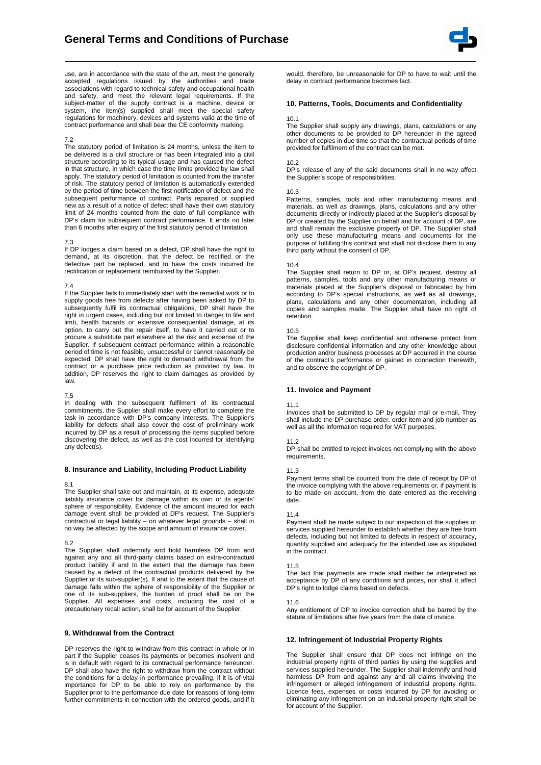

use, are in accordance with the state of the art, meet the generally accepted regulations issued by the authorities and trade associations with regard to technical safety and occupational health and safety, and meet the relevant legal requirements. If the subject-matter of the supply contract is a machine, device or system, the item(s) supplied shall meet the special safety regulations for machinery, devices and systems valid at the time of contract performance and shall bear the CE conformity marking.

#### 7.2

The statutory period of limitation is 24 months, unless the item to be delivered is a civil structure or has been integrated into a civil structure according to its typical usage and has caused the defect in that structure, in which case the time limits provided by law shall apply. The statutory period of limitation is counted from the transfer of risk. The statutory period of limitation is automatically extended by the period of time between the first notification of defect and the subsequent performance of contract. Parts repaired or supplied new as a result of a notice of defect shall have their own statutory limit of 24 months counted from the date of full compliance with DP's claim for subsequent contract performance. It ends no later than 6 months after expiry of the first statutory period of limitation.

#### 7.3

If DP lodges a claim based on a defect, DP shall have the right to demand, at its discretion, that the defect be rectified or the defective part be replaced, and to have the costs incurred for rectification or replacement reimbursed by the Supplier.

#### 7.4

If the Supplier fails to immediately start with the remedial work or to supply goods free from defects after having been asked by DP to subsequently fulfil its contractual obligations, DP shall have the right in urgent cases, including but not limited to danger to life and limb, health hazards or extensive consequential damage, at its option, to carry out the repair itself, to have it carried out or to procure a substitute part elsewhere at the risk and expense of the Supplier. If subsequent contract performance within a reasonable period of time is not feasible, unsuccessful or cannot reasonably be expected, DP shall have the right to demand withdrawal from the contract or a purchase price reduction as provided by law. In addition, DP reserves the right to claim damages as provided by law.

### 7.5

In dealing with the subsequent fulfilment of its contractual commitments, the Supplier shall make every effort to complete the task in accordance with DP's company interests. The Supplier's liability for defects shall also cover the cost of preliminary work incurred by DP as a result of processing the items supplied before discovering the defect, as well as the cost incurred for identifying any defect(s).

#### **8. Insurance and Liability, Including Product Liability**

#### 8.1

The Supplier shall take out and maintain, at its expense, adequate liability insurance cover for damage within its own or its agents' sphere of responsibility. Evidence of the amount insured for each damage event shall be provided at DP's request. The Supplier's contractual or legal liability – on whatever legal grounds – shall in no way be affected by the scope and amount of insurance cover.

#### 8.2

The Supplier shall indemnify and hold harmless DP from and against any and all third-party claims based on extra-contractual product liability if and to the extent that the damage has been caused by a defect of the contractual products delivered by the Supplier or its sub-supplier(s). If and to the extent that the cause of damage falls within the sphere of responsibility of the Supplier or one of its sub-suppliers, the burden of proof shall be on the Supplier. All expenses and costs, including the cost of a precautionary recall action, shall be for account of the Supplier.

# **9. Withdrawal from the Contract**

DP reserves the right to withdraw from this contract in whole or in part if the Supplier ceases its payments or becomes insolvent and is in default with regard to its contractual performance hereunder. DP shall also have the right to withdraw from the contract without the conditions for a delay in performance prevailing, if it is of vital importance for DP to be able to rely on performance by the Supplier prior to the performance due date for reasons of long-term further commitments in connection with the ordered goods, and if it would, therefore, be unreasonable for DP to have to wait until the delay in contract performance becomes fact.

# **10. Patterns, Tools, Documents and Confidentiality**

#### 10.1

The Supplier shall supply any drawings, plans, calculations or any other documents to be provided to DP hereunder in the agreed number of copies in due time so that the contractual periods of time provided for fulfilment of the contract can be met.

#### 10.2

DP's release of any of the said documents shall in no way affect the Supplier's scope of responsibilities.

#### 10.3

Patterns, samples, tools and other manufacturing means and materials, as well as drawings, plans, calculations and any other documents directly or indirectly placed at the Supplier's disposal by DP or created by the Supplier on behalf and for account of DP, are and shall remain the exclusive property of DP. The Supplier shall only use these manufacturing means and documents for the purpose of fulfilling this contract and shall not disclose them to any third party without the consent of DP.

#### 10.4

The Supplier shall return to DP or, at DP's request, destroy all patterns, samples, tools and any other manufacturing means or materials placed at the Supplier's disposal or fabricated by him according to DP's special instructions, as well as all drawings, plans, calculations and any other documentation, including all copies and samples made. The Supplier shall have no right of retention.

### 10.5

The Supplier shall keep confidential and otherwise protect from disclosure confidential information and any other knowledge about production and/or business processes at DP acquired in the course of the contract's performance or gained in connection therewith, and to observe the copyright of DP.

# **11. Invoice and Payment**

#### 11.1

Invoices shall be submitted to DP by regular mail or e-mail. They shall include the DP purchase order, order item and job number as well as all the information required for VAT purposes.

#### 11.2

DP shall be entitled to reject invoices not complying with the above requirements.

### 11.3

Payment terms shall be counted from the date of receipt by DP of the invoice complying with the above requirements or, if payment is to be made on account, from the date entered as the receiving date.

#### 11.4

Payment shall be made subject to our inspection of the supplies or services supplied hereunder to establish whether they are free from defects, including but not limited to defects in respect of accuracy, quantity supplied and adequacy for the intended use as stipulated in the contract.

#### 11.5

The fact that payments are made shall neither be interpreted as acceptance by DP of any conditions and prices, nor shall it affect DP's right to lodge claims based on defects.

# 11.6

Any entitlement of DP to invoice correction shall be barred by the statute of limitations after five years from the date of invoice.

# **12. Infringement of Industrial Property Rights**

The Supplier shall ensure that DP does not infringe on the industrial property rights of third parties by using the supplies and services supplied hereunder. The Supplier shall indemnify and hold harmless DP from and against any and all claims involving the infringement or alleged infringement of industrial property rights. Licence fees, expenses or costs incurred by DP for avoiding or eliminating any infringement on an industrial property right shall be for account of the Supplier.